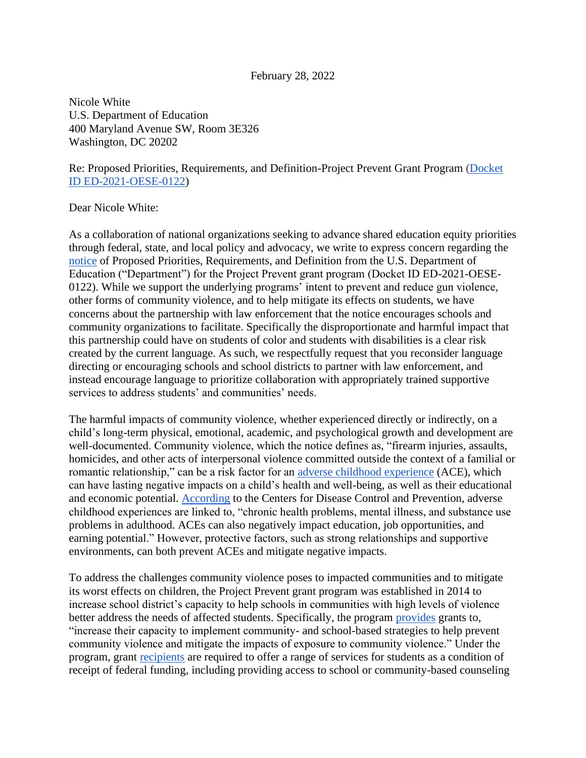## February 28, 2022

Nicole White U.S. Department of Education 400 Maryland Avenue SW, Room 3E326 Washington, DC 20202

## Re: Proposed Priorities, Requirements, and Definition-Project Prevent Grant Program [\(Docket](https://www.federalregister.gov/documents/2022/01/28/2022-01611/proposed-priorities-requirements-and-definition-project-prevent-grant-program)  [ID ED-2021-OESE-0122\)](https://www.federalregister.gov/documents/2022/01/28/2022-01611/proposed-priorities-requirements-and-definition-project-prevent-grant-program)

## Dear Nicole White:

As a collaboration of national organizations seeking to advance shared education equity priorities through federal, state, and local policy and advocacy, we write to express concern regarding the [notice](https://www.federalregister.gov/documents/2022/01/28/2022-01611/proposed-priorities-requirements-and-definition-project-prevent-grant-program) of Proposed Priorities, Requirements, and Definition from the U.S. Department of Education ("Department") for the Project Prevent grant program (Docket ID ED-2021-OESE-0122). While we support the underlying programs' intent to prevent and reduce gun violence, other forms of community violence, and to help mitigate its effects on students, we have concerns about the partnership with law enforcement that the notice encourages schools and community organizations to facilitate. Specifically the disproportionate and harmful impact that this partnership could have on students of color and students with disabilities is a clear risk created by the current language. As such, we respectfully request that you reconsider language directing or encouraging schools and school districts to partner with law enforcement, and instead encourage language to prioritize collaboration with appropriately trained supportive services to address students' and communities' needs.

The harmful impacts of community violence, whether experienced directly or indirectly, on a child's long-term physical, emotional, academic, and psychological growth and development are well-documented. Community violence, which the notice defines as, "firearm injuries, assaults, homicides, and other acts of interpersonal violence committed outside the context of a familial or romantic relationship," can be a risk factor for an [adverse childhood experience](https://www.cdc.gov/violenceprevention/aces/riskprotectivefactors.html) (ACE), which can have lasting negative impacts on a child's health and well-being, as well as their educational and economic potential. [According](https://www.cdc.gov/violenceprevention/aces/fastfact.html) to the Centers for Disease Control and Prevention, adverse childhood experiences are linked to, "chronic health problems, mental illness, and substance use problems in adulthood. ACEs can also negatively impact education, job opportunities, and earning potential." However, protective factors, such as strong relationships and supportive environments, can both prevent ACEs and mitigate negative impacts.

To address the challenges community violence poses to impacted communities and to mitigate its worst effects on children, the Project Prevent grant program was established in 2014 to increase school district's capacity to help schools in communities with high levels of violence better address the needs of affected students. Specifically, the program [provides](https://www.federalregister.gov/documents/2022/01/28/2022-01611/proposed-priorities-requirements-and-definition-project-prevent-grant-program) grants to, "increase their capacity to implement community- and school-based strategies to help prevent community violence and mitigate the impacts of exposure to community violence." Under the program, grant [recipients](https://oese.ed.gov/offices/office-of-formula-grants/safe-supportive-schools/project-prevent-grant-program/) are required to offer a range of services for students as a condition of receipt of federal funding, including providing access to school or community-based counseling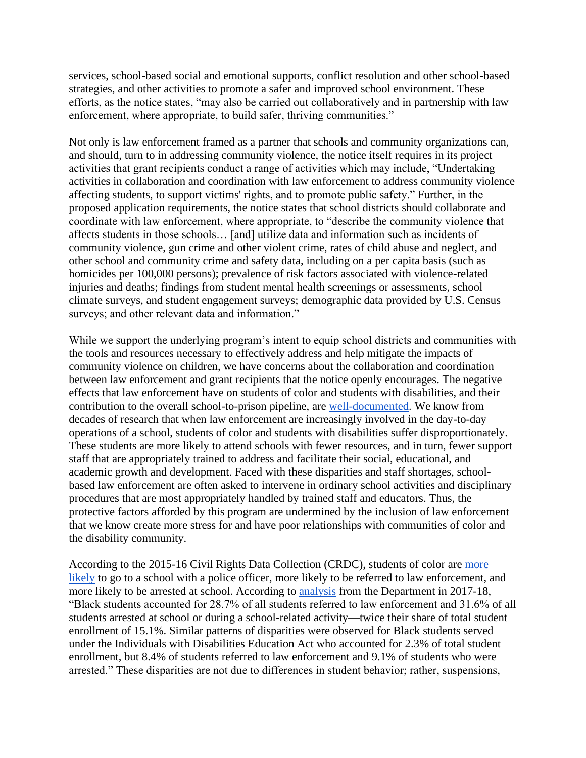services, school-based social and emotional supports, conflict resolution and other school-based strategies, and other activities to promote a safer and improved school environment. These efforts, as the notice states, "may also be carried out collaboratively and in partnership with law enforcement, where appropriate, to build safer, thriving communities."

Not only is law enforcement framed as a partner that schools and community organizations can, and should, turn to in addressing community violence, the notice itself requires in its project activities that grant recipients conduct a range of activities which may include, "Undertaking activities in collaboration and coordination with law enforcement to address community violence affecting students, to support victims' rights, and to promote public safety." Further, in the proposed application requirements, the notice states that school districts should collaborate and coordinate with law enforcement, where appropriate, to "describe the community violence that affects students in those schools… [and] utilize data and information such as incidents of community violence, gun crime and other violent crime, rates of child abuse and neglect, and other school and community crime and safety data, including on a per capita basis (such as homicides per 100,000 persons); prevalence of risk factors associated with violence-related injuries and deaths; findings from student mental health screenings or assessments, school climate surveys, and student engagement surveys; demographic data provided by U.S. Census surveys; and other relevant data and information."

While we support the underlying program's intent to equip school districts and communities with the tools and resources necessary to effectively address and help mitigate the impacts of community violence on children, we have concerns about the collaboration and coordination between law enforcement and grant recipients that the notice openly encourages. The negative effects that law enforcement have on students of color and students with disabilities, and their contribution to the overall school-to-prison pipeline, are [well-documented.](https://www.aclu.org/news/criminal-law-reform/police-in-schools-continue-to-target-black-brown-and-indigenous-students-with-disabilities-the-trump-administration-has-data-thats-likely-to-prove-it/) We know from decades of research that when law enforcement are increasingly involved in the day-to-day operations of a school, students of color and students with disabilities suffer disproportionately. These students are more likely to attend schools with fewer resources, and in turn, fewer support staff that are appropriately trained to address and facilitate their social, educational, and academic growth and development. Faced with these disparities and staff shortages, schoolbased law enforcement are often asked to intervene in ordinary school activities and disciplinary procedures that are most appropriately handled by trained staff and educators. Thus, the protective factors afforded by this program are undermined by the inclusion of law enforcement that we know create more stress for and have poor relationships with communities of color and the disability community.

According to the 2015-16 Civil Rights Data Collection (CRDC), students of color are [more](https://www.aclu.org/issues/juvenile-justice/school-prison-pipeline/cops-and-no-counselors)  [likely](https://www.aclu.org/issues/juvenile-justice/school-prison-pipeline/cops-and-no-counselors) to go to a school with a police officer, more likely to be referred to law enforcement, and more likely to be arrested at school. According to [analysis](https://www2.ed.gov/about/offices/list/ocr/docs/crdc-exclusionary-school-discipline.pdf) from the Department in 2017-18, "Black students accounted for 28.7% of all students referred to law enforcement and 31.6% of all students arrested at school or during a school-related activity—twice their share of total student enrollment of 15.1%. Similar patterns of disparities were observed for Black students served under the Individuals with Disabilities Education Act who accounted for 2.3% of total student enrollment, but 8.4% of students referred to law enforcement and 9.1% of students who were arrested." These disparities are not due to differences in student behavior; rather, suspensions,